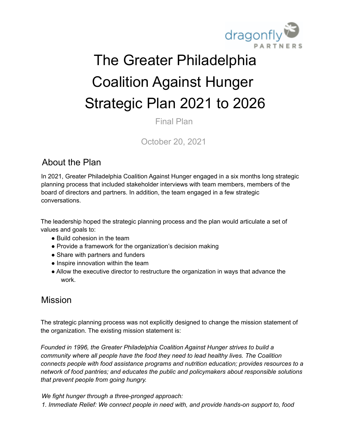

# The Greater Philadelphia Coalition Against Hunger Strategic Plan 2021 to 2026

Final Plan

October 20, 2021

## About the Plan

In 2021, Greater Philadelphia Coalition Against Hunger engaged in a six months long strategic planning process that included stakeholder interviews with team members, members of the board of directors and partners. In addition, the team engaged in a few strategic conversations.

The leadership hoped the strategic planning process and the plan would articulate a set of values and goals to:

- Build cohesion in the team
- Provide a framework for the organization's decision making
- Share with partners and funders
- Inspire innovation within the team
- Allow the executive director to restructure the organization in ways that advance the work.

## Mission

The strategic planning process was not explicitly designed to change the mission statement of the organization. The existing mission statement is:

*Founded in 1996, the Greater Philadelphia Coalition Against Hunger strives to build a community where all people have the food they need to lead healthy lives. The Coalition connects people with food assistance programs and nutrition education; provides resources to a network of food pantries; and educates the public and policymakers about responsible solutions that prevent people from going hungry.*

*We fight hunger through a three-pronged approach: 1. Immediate Relief: We connect people in need with, and provide hands-on support to, food*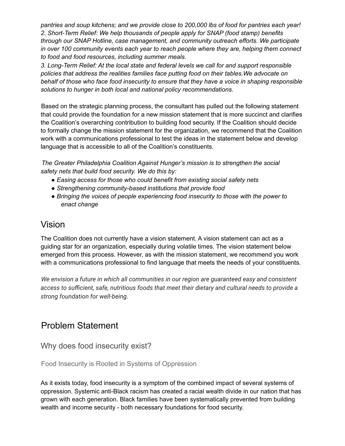*pantries and soup kitchens; and we provide close to 200,000 lbs of food for pantries each year! 2. Short-Term Relief: We help thousands of people apply for SNAP (food stamp) benefits through our SNAP Hotline, case management, and community outreach efforts. We participate in over 100 community events each year to reach people where they are, helping them connect to food and food resources, including summer meals.*

*3. Long-Term Relief: At the local state and federal levels we call for and support responsible policies that address the realities families face putting food on their tables.We advocate on behalf of those who face food insecurity to ensure that they have a voice in shaping responsible solutions to hunger in both local and national policy recommendations.*

Based on the strategic planning process, the consultant has pulled out the following statement that could provide the foundation for a new mission statement that is more succinct and clarifies the Coalition's overarching contribution to building food security. If the Coalition should decide to formally change the mission statement for the organization, we recommend that the Coalition work with a communications professional to test the ideas in the statement below and develop language that is accessible to all of the Coalition's constituents.

*The Greater Philadelphia Coalition Against Hunger's mission is to strengthen the social safety nets that build food security. We do this by:*

- *● Easing access for those who could benefit from existing social safety nets*
- *● Strengthening community-based institutions that provide food*
- *● Bringing the voices of people experiencing food insecurity to those with the power to enact change*

### Vision

The Coalition does not currently have a vision statement. A vision statement can act as a guiding star for an organization, especially during volatile times. The vision statement below emerged from this process. However, as with the mission statement, we recommend you work with a communications professional to find language that meets the needs of your constituents.

*We envision a future in which all communities in our region are guaranteed easy and consistent access to sufficient, safe, nutritious foods that meet their dietary and cultural needs to provide a strong foundation for well-being.*

# Problem Statement

Why does food insecurity exist?

Food Insecurity is Rooted in Systems of Oppression

As it exists today, food insecurity is a symptom of the combined impact of several systems of oppression. Systemic anti-Black racism has created a racial wealth divide in our nation that has grown with each generation. Black families have been systematically prevented from building wealth and income security - both necessary foundations for food security.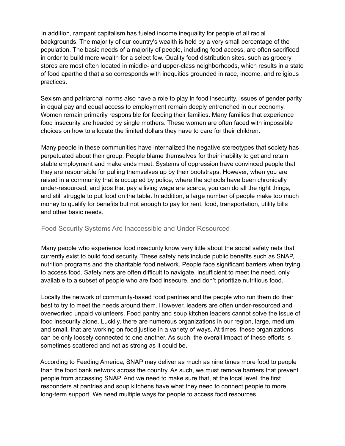In addition, rampant capitalism has fueled income inequality for people of all racial backgrounds. The majority of our country's wealth is held by a very small percentage of the population. The basic needs of a majority of people, including food access, are often sacrificed in order to build more wealth for a select few. Quality food distribution sites, such as grocery stores are most often located in middle- and upper-class neighborhoods, which results in a state of food apartheid that also corresponds with inequities grounded in race, income, and religious practices.

Sexism and patriarchal norms also have a role to play in food insecurity. Issues of gender parity in equal pay and equal access to employment remain deeply entrenched in our economy. Women remain primarily responsible for feeding their families. Many families that experience food insecurity are headed by single mothers. These women are often faced with impossible choices on how to allocate the limited dollars they have to care for their children.

Many people in these communities have internalized the negative stereotypes that society has perpetuated about their group. People blame themselves for their inability to get and retain stable employment and make ends meet. Systems of oppression have convinced people that they are responsible for pulling themselves up by their bootstraps. However, when you are raised in a community that is occupied by police, where the schools have been chronically under-resourced, and jobs that pay a living wage are scarce, you can do all the right things, and still struggle to put food on the table. In addition, a large number of people make too much money to qualify for benefits but not enough to pay for rent, food, transportation, utility bills and other basic needs.

#### Food Security Systems Are Inaccessible and Under Resourced

Many people who experience food insecurity know very little about the social safety nets that currently exist to build food security. These safety nets include public benefits such as SNAP, nutrition programs and the charitable food network. People face significant barriers when trying to access food. Safety nets are often difficult to navigate, insufficient to meet the need, only available to a subset of people who are food insecure, and don't prioritize nutritious food.

Locally the network of community-based food pantries and the people who run them do their best to try to meet the needs around them. However, leaders are often under-resourced and overworked unpaid volunteers. Food pantry and soup kitchen leaders cannot solve the issue of food insecurity alone. Luckily, there are numerous organizations in our region, large, medium and small, that are working on food justice in a variety of ways. At times, these organizations can be only loosely connected to one another. As such, the overall impact of these efforts is sometimes scattered and not as strong as it could be.

According to Feeding America, SNAP may deliver as much as nine times more food to people than the food bank network across the country. As such, we must remove barriers that prevent people from accessing SNAP. And we need to make sure that, at the local level, the first responders at pantries and soup kitchens have what they need to connect people to more long-term support. We need multiple ways for people to access food resources.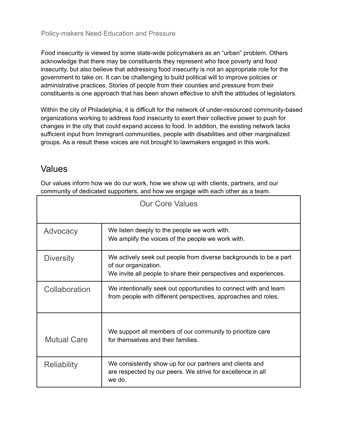Food insecurity is viewed by some state-wide policymakers as an "urban" problem. Others acknowledge that there may be constituents they represent who face poverty and food insecurity, but also believe that addressing food insecurity is not an appropriate role for the government to take on. It can be challenging to build political will to improve policies or administrative practices. Stories of people from their counties and pressure from their constituents is one approach that has been shown effective to shift the attitudes of legislators.

Within the city of Philadelphia, it is difficult for the network of under-resourced community-based organizations working to address food insecurity to exert their collective power to push for changes in the city that could expand access to food. In addition, the existing network lacks sufficient input from Immigrant communities, people with disabilities and other marginalized groups. As a result these voices are not brought to lawmakers engaged in this work.

## Values

Our values inform how we do our work, how we show up with clients, partners, and our community of dedicated supporters, and how we engage with each other as a team.

| <b>Our Core Values</b> |                                                                                                                                                                |  |
|------------------------|----------------------------------------------------------------------------------------------------------------------------------------------------------------|--|
| Advocacy               | We listen deeply to the people we work with.<br>We amplify the voices of the people we work with.                                                              |  |
| <b>Diversity</b>       | We actively seek out people from diverse backgrounds to be a part<br>of our organization.<br>We invite all people to share their perspectives and experiences. |  |
| Collaboration          | We intentionally seek out opportunities to connect with and learn<br>from people with different perspectives, approaches and roles.                            |  |
| <b>Mutual Care</b>     | We support all members of our community to prioritize care<br>for themselves and their families.                                                               |  |
| <b>Reliability</b>     | We consistently show up for our partners and clients and<br>are respected by our peers. We strive for excellence in all<br>we do.                              |  |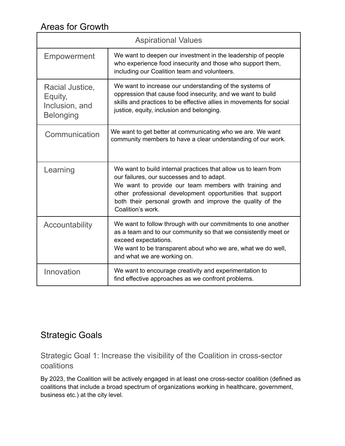# Areas for Growth

| <b>Aspirational Values</b>                                       |                                                                                                                                                                                                                                                                                                                      |
|------------------------------------------------------------------|----------------------------------------------------------------------------------------------------------------------------------------------------------------------------------------------------------------------------------------------------------------------------------------------------------------------|
| Empowerment                                                      | We want to deepen our investment in the leadership of people<br>who experience food insecurity and those who support them,<br>including our Coalition team and volunteers.                                                                                                                                           |
| Racial Justice,<br>Equity,<br>Inclusion, and<br><b>Belonging</b> | We want to increase our understanding of the systems of<br>oppression that cause food insecurity, and we want to build<br>skills and practices to be effective allies in movements for social<br>justice, equity, inclusion and belonging.                                                                           |
| Communication                                                    | We want to get better at communicating who we are. We want<br>community members to have a clear understanding of our work.                                                                                                                                                                                           |
| Learning                                                         | We want to build internal practices that allow us to learn from<br>our failures, our successes and to adapt.<br>We want to provide our team members with training and<br>other professional development opportunities that support<br>both their personal growth and improve the quality of the<br>Coalition's work. |
| Accountability                                                   | We want to follow through with our commitments to one another<br>as a team and to our community so that we consistently meet or<br>exceed expectations.<br>We want to be transparent about who we are, what we do well,<br>and what we are working on.                                                               |
| Innovation                                                       | We want to encourage creativity and experimentation to<br>find effective approaches as we confront problems.                                                                                                                                                                                                         |

# Strategic Goals

Strategic Goal 1: Increase the visibility of the Coalition in cross-sector coalitions

By 2023, the Coalition will be actively engaged in at least one cross-sector coalition (defined as coalitions that include a broad spectrum of organizations working in healthcare, government, business etc.) at the city level.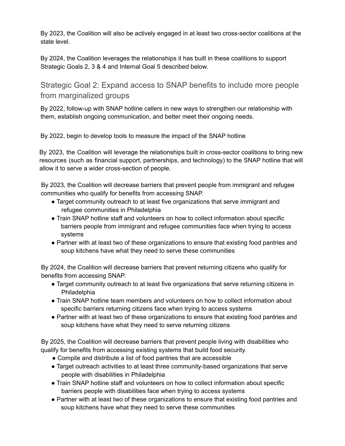By 2023, the Coalition will also be actively engaged in at least two cross-sector coalitions at the state level.

By 2024, the Coalition leverages the relationships it has built in these coalitions to support Strategic Goals 2, 3 & 4 and Internal Goal 5 described below.

Strategic Goal 2: Expand access to SNAP benefits to include more people from marginalized groups

By 2022, follow-up with SNAP hotline callers in new ways to strengthen our relationship with them, establish ongoing communication, and better meet their ongoing needs.

By 2022, begin to develop tools to measure the impact of the SNAP hotline

By 2023, the Coalition will leverage the relationships built in cross-sector coalitions to bring new resources (such as financial support, partnerships, and technology) to the SNAP hotline that will allow it to serve a wider cross-section of people.

By 2023, the Coalition will decrease barriers that prevent people from immigrant and refugee communities who qualify for benefits from accessing SNAP.

- Target community outreach to at least five organizations that serve immigrant and refugee communities in Philadelphia
- Train SNAP hotline staff and volunteers on how to collect information about specific barriers people from immigrant and refugee communities face when trying to access systems
- Partner with at least two of these organizations to ensure that existing food pantries and soup kitchens have what they need to serve these communities

By 2024, the Coalition will decrease barriers that prevent returning citizens who qualify for benefits from accessing SNAP.

- Target community outreach to at least five organizations that serve returning citizens in **Philadelphia**
- Train SNAP hotline team members and volunteers on how to collect information about specific barriers returning citizens face when trying to access systems
- Partner with at least two of these organizations to ensure that existing food pantries and soup kitchens have what they need to serve returning citizens

By 2025, the Coalition will decrease barriers that prevent people living with disabilities who qualify for benefits from accessing existing systems that build food security.

- Compile and distribute a list of food pantries that are accessible
- Target outreach activities to at least three community-based organizations that serve people with disabilities in Philadelphia
- Train SNAP hotline staff and volunteers on how to collect information about specific barriers people with disabilities face when trying to access systems
- Partner with at least two of these organizations to ensure that existing food pantries and soup kitchens have what they need to serve these communities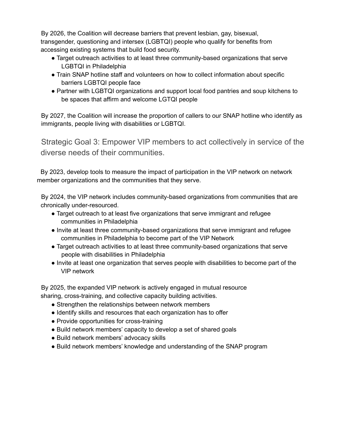By 2026, the Coalition will decrease barriers that prevent lesbian, gay, bisexual, transgender, questioning and intersex (LGBTQI) people who qualify for benefits from accessing existing systems that build food security.

- Target outreach activities to at least three community-based organizations that serve LGBTQI in Philadelphia
- Train SNAP hotline staff and volunteers on how to collect information about specific barriers LGBTQI people face
- Partner with LGBTQI organizations and support local food pantries and soup kitchens to be spaces that affirm and welcome LGTQI people

By 2027, the Coalition will increase the proportion of callers to our SNAP hotline who identify as immigrants, people living with disabilities or LGBTQI.

Strategic Goal 3: Empower VIP members to act collectively in service of the diverse needs of their communities.

By 2023, develop tools to measure the impact of participation in the VIP network on network member organizations and the communities that they serve.

By 2024, the VIP network includes community-based organizations from communities that are chronically under-resourced.

- Target outreach to at least five organizations that serve immigrant and refugee communities in Philadelphia
- Invite at least three community-based organizations that serve immigrant and refugee communities in Philadelphia to become part of the VIP Network
- Target outreach activities to at least three community-based organizations that serve people with disabilities in Philadelphia
- Invite at least one organization that serves people with disabilities to become part of the VIP network

By 2025, the expanded VIP network is actively engaged in mutual resource sharing, cross-training, and collective capacity building activities.

- Strengthen the relationships between network members
- Identify skills and resources that each organization has to offer
- Provide opportunities for cross-training
- Build network members' capacity to develop a set of shared goals
- Build network members' advocacy skills
- Build network members' knowledge and understanding of the SNAP program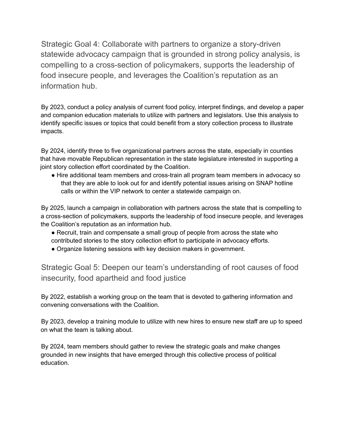Strategic Goal 4: Collaborate with partners to organize a story-driven statewide advocacy campaign that is grounded in strong policy analysis, is compelling to a cross-section of policymakers, supports the leadership of food insecure people, and leverages the Coalition's reputation as an information hub.

By 2023, conduct a policy analysis of current food policy, interpret findings, and develop a paper and companion education materials to utilize with partners and legislators. Use this analysis to identify specific issues or topics that could benefit from a story collection process to illustrate impacts.

By 2024, identify three to five organizational partners across the state, especially in counties that have movable Republican representation in the state legislature interested in supporting a joint story collection effort coordinated by the Coalition.

• Hire additional team members and cross-train all program team members in advocacy so that they are able to look out for and identify potential issues arising on SNAP hotline calls or within the VIP network to center a statewide campaign on.

By 2025, launch a campaign in collaboration with partners across the state that is compelling to a cross-section of policymakers, supports the leadership of food insecure people, and leverages the Coalition's reputation as an information hub.

- Recruit, train and compensate a small group of people from across the state who contributed stories to the story collection effort to participate in advocacy efforts.
- Organize listening sessions with key decision makers in government.

Strategic Goal 5: Deepen our team's understanding of root causes of food insecurity, food apartheid and food justice

By 2022, establish a working group on the team that is devoted to gathering information and convening conversations with the Coalition.

By 2023, develop a training module to utilize with new hires to ensure new staff are up to speed on what the team is talking about.

By 2024, team members should gather to review the strategic goals and make changes grounded in new insights that have emerged through this collective process of political education.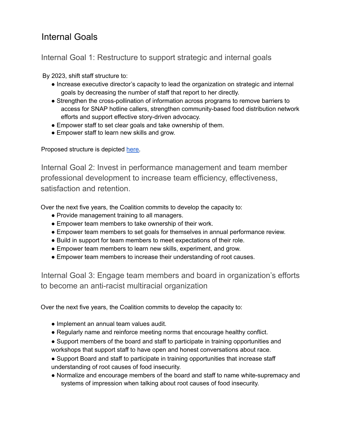## Internal Goals

Internal Goal 1: Restructure to support strategic and internal goals

By 2023, shift staff structure to:

- Increase executive director's capacity to lead the organization on strategic and internal goals by decreasing the number of staff that report to her directly.
- Strengthen the cross-pollination of information across programs to remove barriers to access for SNAP hotline callers, strengthen community-based food distribution network efforts and support effective story-driven advocacy.
- Empower staff to set clear goals and take ownership of them.
- Empower staff to learn new skills and grow.

Proposed structure is depicted [here.](https://docs.google.com/presentation/d/1M20htJf7L-V_om_99csYrhE6SxXoFPlJ/edit?usp=sharing&ouid=107248172978725006394&rtpof=true&sd=true)

Internal Goal 2: Invest in performance management and team member professional development to increase team efficiency, effectiveness, satisfaction and retention.

Over the next five years, the Coalition commits to develop the capacity to:

- Provide management training to all managers.
- Empower team members to take ownership of their work.
- Empower team members to set goals for themselves in annual performance review.
- Build in support for team members to meet expectations of their role.
- Empower team members to learn new skills, experiment, and grow.
- Empower team members to increase their understanding of root causes.

Internal Goal 3: Engage team members and board in organization's efforts to become an anti-racist multiracial organization

Over the next five years, the Coalition commits to develop the capacity to:

- Implement an annual team values audit.
- Regularly name and reinforce meeting norms that encourage healthy conflict.
- Support members of the board and staff to participate in training opportunities and workshops that support staff to have open and honest conversations about race.
- Support Board and staff to participate in training opportunities that increase staff understanding of root causes of food insecurity.
- Normalize and encourage members of the board and staff to name white-supremacy and systems of impression when talking about root causes of food insecurity.